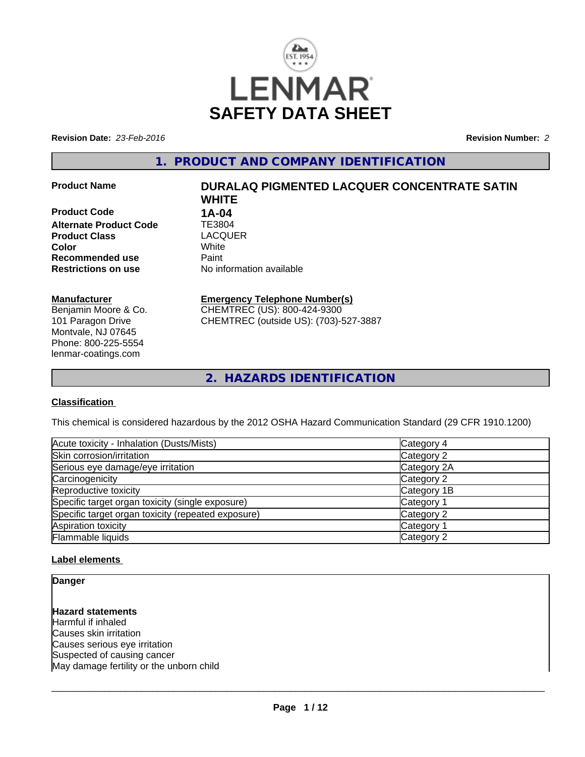

**Revision Date:** *23-Feb-2016* **Revision Number:** *2*

**1. PRODUCT AND COMPANY IDENTIFICATION**

**Product Code 1A-04 Alternate Product Code TE3804<br>
<b>Product Class** LACQUER **Product Class** LACQ<br> **Color** White **Recommended use** Paint<br> **Restrictions on use** No inf

#### **Manufacturer**

Benjamin Moore & Co. 101 Paragon Drive Montvale, NJ 07645 Phone: 800-225-5554 lenmar-coatings.com

# **Product Name DURALAQ PIGMENTED LACQUER CONCENTRATE SATIN WHITE Color** White White

**No information available** 

#### **Emergency Telephone Number(s)**

CHEMTREC (US): 800-424-9300 CHEMTREC (outside US): (703)-527-3887

**2. HAZARDS IDENTIFICATION**

#### **Classification**

This chemical is considered hazardous by the 2012 OSHA Hazard Communication Standard (29 CFR 1910.1200)

| Acute toxicity - Inhalation (Dusts/Mists)          | Category 4            |
|----------------------------------------------------|-----------------------|
| Skin corrosion/irritation                          | Category 2            |
| Serious eye damage/eye irritation                  | Category 2A           |
| Carcinogenicity                                    | Category 2            |
| Reproductive toxicity                              | Category 1B           |
| Specific target organ toxicity (single exposure)   | Category 1            |
| Specific target organ toxicity (repeated exposure) | Category 2            |
| Aspiration toxicity                                | Category <sup>2</sup> |
| Flammable liquids                                  | Category 2            |

#### **Label elements**

**Danger**

**Hazard statements** Harmful if inhaled

Causes skin irritation Causes serious eye irritation Suspected of causing cancer May damage fertility or the unborn child

 $\overline{\phantom{a}}$  ,  $\overline{\phantom{a}}$  ,  $\overline{\phantom{a}}$  ,  $\overline{\phantom{a}}$  ,  $\overline{\phantom{a}}$  ,  $\overline{\phantom{a}}$  ,  $\overline{\phantom{a}}$  ,  $\overline{\phantom{a}}$  ,  $\overline{\phantom{a}}$  ,  $\overline{\phantom{a}}$  ,  $\overline{\phantom{a}}$  ,  $\overline{\phantom{a}}$  ,  $\overline{\phantom{a}}$  ,  $\overline{\phantom{a}}$  ,  $\overline{\phantom{a}}$  ,  $\overline{\phantom{a}}$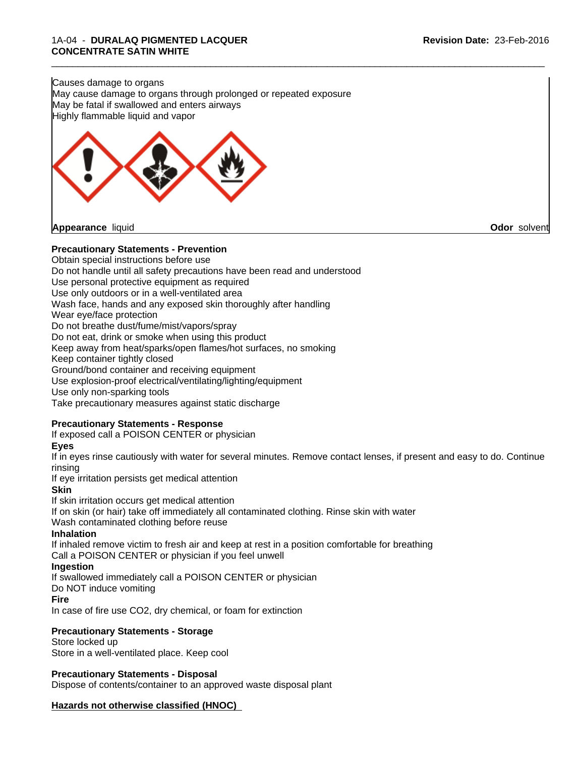Causes damage to organs May cause damage to organs through prolonged or repeated exposure May be fatal if swallowed and enters airways Highly flammable liquid and vapor



**Appearance** liquid **Odor** solvent

#### **Precautionary Statements - Prevention**

Obtain special instructions before use Do not handle until all safety precautions have been read and understood Use personal protective equipment as required Use only outdoors or in a well-ventilated area Wash face, hands and any exposed skin thoroughly after handling Wear eye/face protection Do not breathe dust/fume/mist/vapors/spray Do not eat, drink or smoke when using this product Keep away from heat/sparks/open flames/hot surfaces, no smoking Keep container tightly closed Ground/bond container and receiving equipment Use explosion-proof electrical/ventilating/lighting/equipment Use only non-sparking tools

Take precautionary measures against static discharge

#### **Precautionary Statements - Response**

If exposed call a POISON CENTER or physician

#### **Eyes**

If in eyes rinse cautiously with water for several minutes. Remove contact lenses, if present and easy to do. Continue rinsing

\_\_\_\_\_\_\_\_\_\_\_\_\_\_\_\_\_\_\_\_\_\_\_\_\_\_\_\_\_\_\_\_\_\_\_\_\_\_\_\_\_\_\_\_\_\_\_\_\_\_\_\_\_\_\_\_\_\_\_\_\_\_\_\_\_\_\_\_\_\_\_\_\_\_\_\_\_\_\_\_\_\_\_\_\_\_\_\_\_\_\_\_\_

If eye irritation persists get medical attention

#### **Skin**

If skin irritation occurs get medical attention

If on skin (or hair) take off immediately all contaminated clothing. Rinse skin with water

Wash contaminated clothing before reuse

#### **Inhalation**

If inhaled remove victim to fresh air and keep at rest in a position comfortable for breathing

Call a POISON CENTER or physician if you feel unwell

#### **Ingestion**

If swallowed immediately call a POISON CENTER or physician

Do NOT induce vomiting

#### **Fire**

In case of fire use CO2, dry chemical, or foam for extinction

#### **Precautionary Statements - Storage**

Store locked up Store in a well-ventilated place. Keep cool

#### **Precautionary Statements - Disposal**

Dispose of contents/container to an approved waste disposal plant

#### **Hazards not otherwise classified (HNOC)**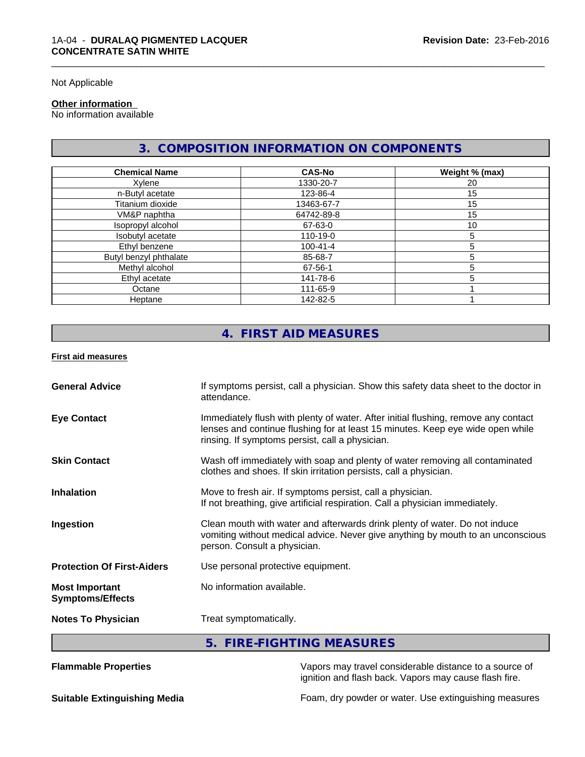Not Applicable

#### **Other information**

No information available

# **3. COMPOSITION INFORMATION ON COMPONENTS**

| <b>Chemical Name</b>   | <b>CAS-No</b>  | Weight % (max) |
|------------------------|----------------|----------------|
| Xylene                 | 1330-20-7      | 20             |
| n-Butyl acetate        | 123-86-4       | 15             |
| Titanium dioxide       | 13463-67-7     | 15             |
| VM&P naphtha           | 64742-89-8     | 15             |
| Isopropyl alcohol      | 67-63-0        | 10             |
| Isobutyl acetate       | 110-19-0       | 'n.            |
| Ethyl benzene          | $100 - 41 - 4$ |                |
| Butyl benzyl phthalate | 85-68-7        |                |
| Methyl alcohol         | 67-56-1        |                |
| Ethyl acetate          | 141-78-6       |                |
| Octane                 | 111-65-9       |                |
| Heptane                | 142-82-5       |                |

# **4. FIRST AID MEASURES**

**First aid measures**

| Immediately flush with plenty of water. After initial flushing, remove any contact<br><b>Eye Contact</b><br>lenses and continue flushing for at least 15 minutes. Keep eye wide open while<br>rinsing. If symptoms persist, call a physician.<br>Wash off immediately with soap and plenty of water removing all contaminated<br><b>Skin Contact</b><br>clothes and shoes. If skin irritation persists, call a physician.<br>Move to fresh air. If symptoms persist, call a physician.<br>If not breathing, give artificial respiration. Call a physician immediately.<br>Clean mouth with water and afterwards drink plenty of water. Do not induce<br>Ingestion<br>vomiting without medical advice. Never give anything by mouth to an unconscious<br>person. Consult a physician.<br>Use personal protective equipment.<br>No information available.<br><b>Most Important</b><br><b>Symptoms/Effects</b><br>Treat symptomatically.<br><b>Notes To Physician</b> | 5. FIRE-FIGHTING MEASURES |  |
|--------------------------------------------------------------------------------------------------------------------------------------------------------------------------------------------------------------------------------------------------------------------------------------------------------------------------------------------------------------------------------------------------------------------------------------------------------------------------------------------------------------------------------------------------------------------------------------------------------------------------------------------------------------------------------------------------------------------------------------------------------------------------------------------------------------------------------------------------------------------------------------------------------------------------------------------------------------------|---------------------------|--|
| <b>Inhalation</b><br><b>Protection Of First-Aiders</b>                                                                                                                                                                                                                                                                                                                                                                                                                                                                                                                                                                                                                                                                                                                                                                                                                                                                                                             |                           |  |
|                                                                                                                                                                                                                                                                                                                                                                                                                                                                                                                                                                                                                                                                                                                                                                                                                                                                                                                                                                    |                           |  |
|                                                                                                                                                                                                                                                                                                                                                                                                                                                                                                                                                                                                                                                                                                                                                                                                                                                                                                                                                                    |                           |  |
|                                                                                                                                                                                                                                                                                                                                                                                                                                                                                                                                                                                                                                                                                                                                                                                                                                                                                                                                                                    |                           |  |
|                                                                                                                                                                                                                                                                                                                                                                                                                                                                                                                                                                                                                                                                                                                                                                                                                                                                                                                                                                    |                           |  |
|                                                                                                                                                                                                                                                                                                                                                                                                                                                                                                                                                                                                                                                                                                                                                                                                                                                                                                                                                                    |                           |  |
|                                                                                                                                                                                                                                                                                                                                                                                                                                                                                                                                                                                                                                                                                                                                                                                                                                                                                                                                                                    |                           |  |
| If symptoms persist, call a physician. Show this safety data sheet to the doctor in<br><b>General Advice</b>                                                                                                                                                                                                                                                                                                                                                                                                                                                                                                                                                                                                                                                                                                                                                                                                                                                       | attendance.               |  |

**Flammable Properties** Vapors may travel considerable distance to a source of ignition and flash back. Vapors may cause flash fire.

**Suitable Extinguishing Media** Foam, dry powder or water. Use extinguishing measures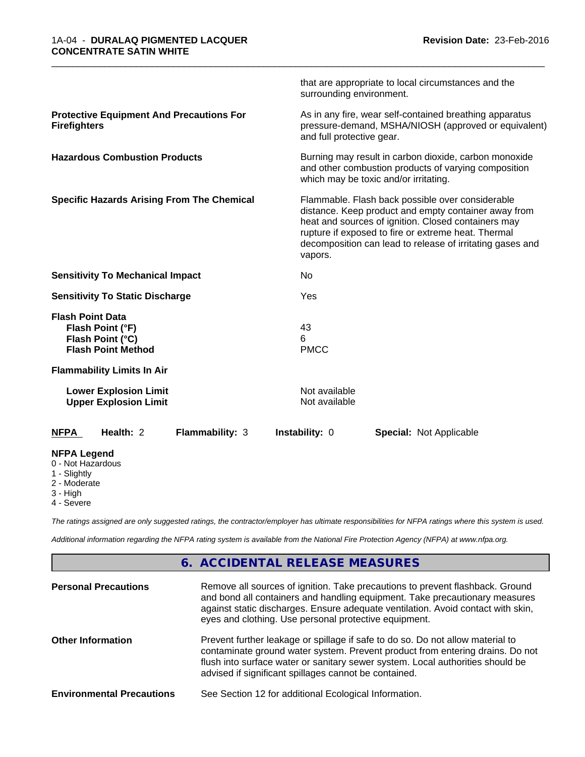|                                                                                              |                 | surrounding environment.       | that are appropriate to local circumstances and the                                                                                                                                                                                                                                 |  |
|----------------------------------------------------------------------------------------------|-----------------|--------------------------------|-------------------------------------------------------------------------------------------------------------------------------------------------------------------------------------------------------------------------------------------------------------------------------------|--|
| <b>Protective Equipment And Precautions For</b><br><b>Firefighters</b>                       |                 | and full protective gear.      | As in any fire, wear self-contained breathing apparatus<br>pressure-demand, MSHA/NIOSH (approved or equivalent)                                                                                                                                                                     |  |
| <b>Hazardous Combustion Products</b>                                                         |                 |                                | Burning may result in carbon dioxide, carbon monoxide<br>and other combustion products of varying composition<br>which may be toxic and/or irritating.                                                                                                                              |  |
| <b>Specific Hazards Arising From The Chemical</b>                                            |                 | vapors.                        | Flammable. Flash back possible over considerable<br>distance. Keep product and empty container away from<br>heat and sources of ignition. Closed containers may<br>rupture if exposed to fire or extreme heat. Thermal<br>decomposition can lead to release of irritating gases and |  |
| <b>Sensitivity To Mechanical Impact</b>                                                      |                 | No.                            |                                                                                                                                                                                                                                                                                     |  |
| <b>Sensitivity To Static Discharge</b>                                                       |                 | Yes                            |                                                                                                                                                                                                                                                                                     |  |
| <b>Flash Point Data</b><br>Flash Point (°F)<br>Flash Point (°C)<br><b>Flash Point Method</b> |                 | 43<br>6<br><b>PMCC</b>         |                                                                                                                                                                                                                                                                                     |  |
| <b>Flammability Limits In Air</b>                                                            |                 |                                |                                                                                                                                                                                                                                                                                     |  |
| <b>Lower Explosion Limit</b><br><b>Upper Explosion Limit</b>                                 |                 | Not available<br>Not available |                                                                                                                                                                                                                                                                                     |  |
| <b>NFPA</b><br>Health: 2                                                                     | Flammability: 3 | Instability: 0                 | <b>Special: Not Applicable</b>                                                                                                                                                                                                                                                      |  |
| <b>NFPA Legend</b><br>0 - Not Hazardous<br>1 - Slightly<br>2 - Moderate                      |                 |                                |                                                                                                                                                                                                                                                                                     |  |

\_\_\_\_\_\_\_\_\_\_\_\_\_\_\_\_\_\_\_\_\_\_\_\_\_\_\_\_\_\_\_\_\_\_\_\_\_\_\_\_\_\_\_\_\_\_\_\_\_\_\_\_\_\_\_\_\_\_\_\_\_\_\_\_\_\_\_\_\_\_\_\_\_\_\_\_\_\_\_\_\_\_\_\_\_\_\_\_\_\_\_\_\_

3 - High

4 - Severe

*The ratings assigned are only suggested ratings, the contractor/employer has ultimate responsibilities for NFPA ratings where this system is used.*

*Additional information regarding the NFPA rating system is available from the National Fire Protection Agency (NFPA) at www.nfpa.org.*

# **6. ACCIDENTAL RELEASE MEASURES**

| <b>Personal Precautions</b>      | Remove all sources of ignition. Take precautions to prevent flashback. Ground<br>and bond all containers and handling equipment. Take precautionary measures<br>against static discharges. Ensure adequate ventilation. Avoid contact with skin,<br>eyes and clothing. Use personal protective equipment.  |
|----------------------------------|------------------------------------------------------------------------------------------------------------------------------------------------------------------------------------------------------------------------------------------------------------------------------------------------------------|
| <b>Other Information</b>         | Prevent further leakage or spillage if safe to do so. Do not allow material to<br>contaminate ground water system. Prevent product from entering drains. Do not<br>flush into surface water or sanitary sewer system. Local authorities should be<br>advised if significant spillages cannot be contained. |
| <b>Environmental Precautions</b> | See Section 12 for additional Ecological Information.                                                                                                                                                                                                                                                      |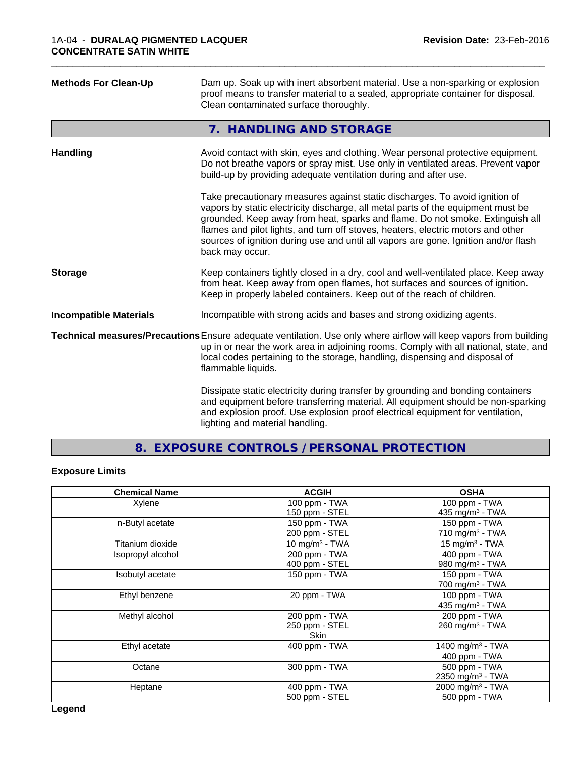| <b>Methods For Clean-Up</b>   | Dam up. Soak up with inert absorbent material. Use a non-sparking or explosion<br>proof means to transfer material to a sealed, appropriate container for disposal.<br>Clean contaminated surface thoroughly.                                                                                                                                                                                                                                  |
|-------------------------------|------------------------------------------------------------------------------------------------------------------------------------------------------------------------------------------------------------------------------------------------------------------------------------------------------------------------------------------------------------------------------------------------------------------------------------------------|
|                               | 7. HANDLING AND STORAGE                                                                                                                                                                                                                                                                                                                                                                                                                        |
| <b>Handling</b>               | Avoid contact with skin, eyes and clothing. Wear personal protective equipment.<br>Do not breathe vapors or spray mist. Use only in ventilated areas. Prevent vapor<br>build-up by providing adequate ventilation during and after use.                                                                                                                                                                                                        |
|                               | Take precautionary measures against static discharges. To avoid ignition of<br>vapors by static electricity discharge, all metal parts of the equipment must be<br>grounded. Keep away from heat, sparks and flame. Do not smoke. Extinguish all<br>flames and pilot lights, and turn off stoves, heaters, electric motors and other<br>sources of ignition during use and until all vapors are gone. Ignition and/or flash<br>back may occur. |
| <b>Storage</b>                | Keep containers tightly closed in a dry, cool and well-ventilated place. Keep away<br>from heat. Keep away from open flames, hot surfaces and sources of ignition.<br>Keep in properly labeled containers. Keep out of the reach of children.                                                                                                                                                                                                  |
| <b>Incompatible Materials</b> | Incompatible with strong acids and bases and strong oxidizing agents.                                                                                                                                                                                                                                                                                                                                                                          |
|                               | Technical measures/Precautions Ensure adequate ventilation. Use only where airflow will keep vapors from building<br>up in or near the work area in adjoining rooms. Comply with all national, state, and<br>local codes pertaining to the storage, handling, dispensing and disposal of<br>flammable liquids.                                                                                                                                 |
|                               | Dissipate static electricity during transfer by grounding and bonding containers<br>and equipment before transferring material. All equipment should be non-sparking<br>and explosion proof. Use explosion proof electrical equipment for ventilation,<br>lighting and material handling.                                                                                                                                                      |

\_\_\_\_\_\_\_\_\_\_\_\_\_\_\_\_\_\_\_\_\_\_\_\_\_\_\_\_\_\_\_\_\_\_\_\_\_\_\_\_\_\_\_\_\_\_\_\_\_\_\_\_\_\_\_\_\_\_\_\_\_\_\_\_\_\_\_\_\_\_\_\_\_\_\_\_\_\_\_\_\_\_\_\_\_\_\_\_\_\_\_\_\_

**8. EXPOSURE CONTROLS / PERSONAL PROTECTION**

# **Exposure Limits**

| <b>Chemical Name</b> | <b>ACGIH</b>      | <b>OSHA</b>                  |
|----------------------|-------------------|------------------------------|
| Xylene               | 100 ppm - TWA     | 100 ppm - TWA                |
|                      | 150 ppm - STEL    | 435 mg/m <sup>3</sup> - TWA  |
| n-Butyl acetate      | 150 ppm - TWA     | 150 ppm - TWA                |
|                      | 200 ppm - STEL    | 710 mg/m $3$ - TWA           |
| Titanium dioxide     | 10 mg/m $3$ - TWA | 15 mg/m $3$ - TWA            |
| Isopropyl alcohol    | 200 ppm - TWA     | 400 ppm - TWA                |
|                      | 400 ppm - STEL    | 980 mg/m <sup>3</sup> - TWA  |
| Isobutyl acetate     | 150 ppm - TWA     | 150 ppm - TWA                |
|                      |                   | 700 mg/m <sup>3</sup> - TWA  |
| Ethyl benzene        | 20 ppm - TWA      | 100 ppm - TWA                |
|                      |                   | 435 mg/m $3$ - TWA           |
| Methyl alcohol       | 200 ppm - TWA     | 200 ppm - TWA                |
|                      | 250 ppm - STEL    | 260 mg/m <sup>3</sup> - TWA  |
|                      | Skin              |                              |
| Ethyl acetate        | 400 ppm - TWA     | 1400 mg/m <sup>3</sup> - TWA |
|                      |                   | 400 ppm - TWA                |
| Octane               | 300 ppm - TWA     | 500 ppm - TWA                |
|                      |                   | 2350 mg/m <sup>3</sup> - TWA |
| Heptane              | $400$ ppm - TWA   | 2000 mg/m <sup>3</sup> - TWA |
|                      | 500 ppm - STEL    | 500 ppm - TWA                |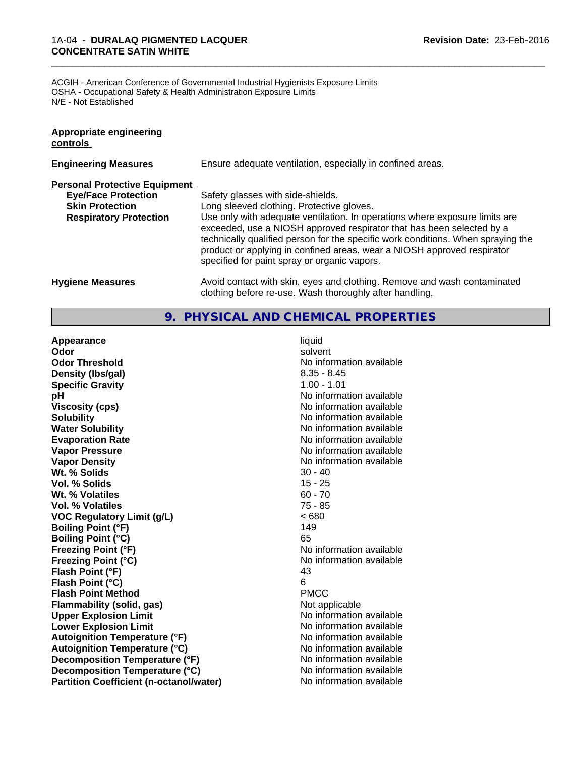#### 1A-04 - **DURALAQ PIGMENTED LACQUER CONCENTRATE SATIN WHITE**

ACGIH - American Conference of Governmental Industrial Hygienists Exposure Limits OSHA - Occupational Safety & Health Administration Exposure Limits N/E - Not Established

| Appropriate engineering<br>controls  |                                                                                                                                                                                                                                                                                                                                                                     |
|--------------------------------------|---------------------------------------------------------------------------------------------------------------------------------------------------------------------------------------------------------------------------------------------------------------------------------------------------------------------------------------------------------------------|
| <b>Engineering Measures</b>          | Ensure adequate ventilation, especially in confined areas.                                                                                                                                                                                                                                                                                                          |
| <b>Personal Protective Equipment</b> |                                                                                                                                                                                                                                                                                                                                                                     |
| <b>Eye/Face Protection</b>           | Safety glasses with side-shields.                                                                                                                                                                                                                                                                                                                                   |
| <b>Skin Protection</b>               | Long sleeved clothing. Protective gloves.                                                                                                                                                                                                                                                                                                                           |
| <b>Respiratory Protection</b>        | Use only with adequate ventilation. In operations where exposure limits are<br>exceeded, use a NIOSH approved respirator that has been selected by a<br>technically qualified person for the specific work conditions. When spraying the<br>product or applying in confined areas, wear a NIOSH approved respirator<br>specified for paint spray or organic vapors. |
| <b>Hygiene Measures</b>              | Avoid contact with skin, eyes and clothing. Remove and wash contaminated<br>clothing before re-use. Wash thoroughly after handling.                                                                                                                                                                                                                                 |

\_\_\_\_\_\_\_\_\_\_\_\_\_\_\_\_\_\_\_\_\_\_\_\_\_\_\_\_\_\_\_\_\_\_\_\_\_\_\_\_\_\_\_\_\_\_\_\_\_\_\_\_\_\_\_\_\_\_\_\_\_\_\_\_\_\_\_\_\_\_\_\_\_\_\_\_\_\_\_\_\_\_\_\_\_\_\_\_\_\_\_\_\_

#### **9. PHYSICAL AND CHEMICAL PROPERTIES**

**Appearance** liquid **Odor** solvent **Odor Threshold** No information available **Density (Ibs/gal)** 8.35 - 8.45<br> **Specific Gravity** 8.35 - 8.45 **Specific Gravity pH** No information available **Viscosity (cps)** No information available **Solubility Note 2008 Note 2008 Note 2008 Note 2008 Note 2008 Note 2008 Note 2008 Note 2009 Note 2009 Note 2009 Note 2009 Note 2009 Note 2009 Note 2009 Note 2009 Note 2009 Note 2009 Note Water Solubility** No information available **Evaporation Rate No information available No information available Vapor Pressure** No information available **Vapor Density**<br> **We Solids**<br>
We Solids
20 - 40 **Wt. % Solids** 30 - 40<br> **Vol. % Solids** 30 - 40 **Vol. % Solids** 15 - 25<br> **Wt. % Volatiles** 60 - 70 **Wt. % Volatiles Vol. % Volatiles** 75 - 85 **VOC Regulatory Limit (g/L)** < 680 **Boiling Point (°F)** 149 **Boiling Point (°C)** 65 **Freezing Point (°F)** No information available **Freezing Point (°C)** No information available **Flash Point (°F)** 43 **Flash Point (°C)** 6 **Flash Point Method** PMCC **Flammability (solid, gas)** Not applicable **Upper Explosion Limit Contract Contract Contract Contract Contract Contract Contract Contract Contract Contract Contract Contract Contract Contract Contract Contract Contract Contract Contract Contract Contract Contract Lower Explosion Limit**<br> **Autoignition Temperature (°F)** No information available<br>
No information available **Autoignition Temperature (°F) Autoignition Temperature (°C)** No information available **Decomposition Temperature (°F)** No information available **Decomposition Temperature (°C)** No information available **Partition Coefficient (n-octanol/water)** No information available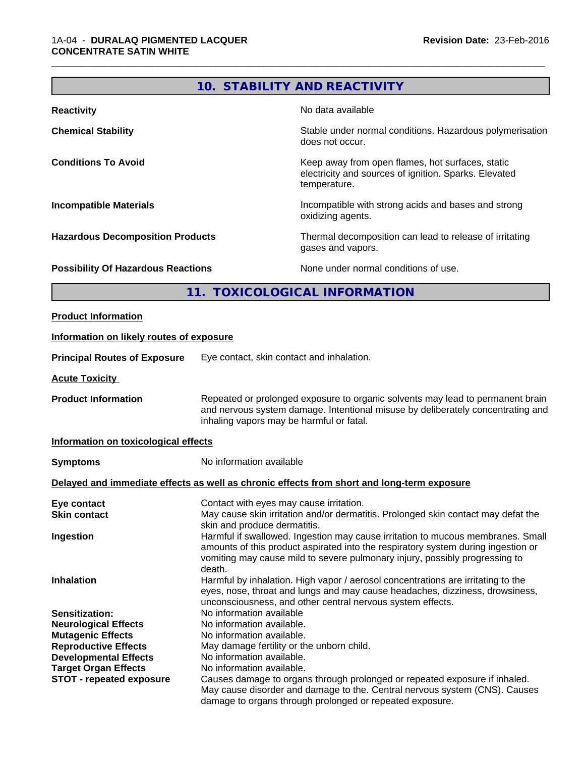# **10. STABILITY AND REACTIVITY**

\_\_\_\_\_\_\_\_\_\_\_\_\_\_\_\_\_\_\_\_\_\_\_\_\_\_\_\_\_\_\_\_\_\_\_\_\_\_\_\_\_\_\_\_\_\_\_\_\_\_\_\_\_\_\_\_\_\_\_\_\_\_\_\_\_\_\_\_\_\_\_\_\_\_\_\_\_\_\_\_\_\_\_\_\_\_\_\_\_\_\_\_\_

| <b>Reactivity</b>                         | No data available                                                                                                         |
|-------------------------------------------|---------------------------------------------------------------------------------------------------------------------------|
| <b>Chemical Stability</b>                 | Stable under normal conditions. Hazardous polymerisation<br>does not occur.                                               |
| <b>Conditions To Avoid</b>                | Keep away from open flames, hot surfaces, static<br>electricity and sources of ignition. Sparks. Elevated<br>temperature. |
| <b>Incompatible Materials</b>             | Incompatible with strong acids and bases and strong<br>oxidizing agents.                                                  |
| <b>Hazardous Decomposition Products</b>   | Thermal decomposition can lead to release of irritating<br>gases and vapors.                                              |
| <b>Possibility Of Hazardous Reactions</b> | None under normal conditions of use.                                                                                      |

# **11. TOXICOLOGICAL INFORMATION**

| <b>Product Information</b>               |                                                                                                                                                                                                                                                               |
|------------------------------------------|---------------------------------------------------------------------------------------------------------------------------------------------------------------------------------------------------------------------------------------------------------------|
| Information on likely routes of exposure |                                                                                                                                                                                                                                                               |
| <b>Principal Routes of Exposure</b>      | Eye contact, skin contact and inhalation.                                                                                                                                                                                                                     |
| <b>Acute Toxicity</b>                    |                                                                                                                                                                                                                                                               |
| <b>Product Information</b>               | Repeated or prolonged exposure to organic solvents may lead to permanent brain<br>and nervous system damage. Intentional misuse by deliberately concentrating and<br>inhaling vapors may be harmful or fatal.                                                 |
| Information on toxicological effects     |                                                                                                                                                                                                                                                               |
| <b>Symptoms</b>                          | No information available                                                                                                                                                                                                                                      |
|                                          | Delayed and immediate effects as well as chronic effects from short and long-term exposure                                                                                                                                                                    |
| Eye contact                              | Contact with eyes may cause irritation.                                                                                                                                                                                                                       |
| <b>Skin contact</b>                      | May cause skin irritation and/or dermatitis. Prolonged skin contact may defat the<br>skin and produce dermatitis.                                                                                                                                             |
| Ingestion                                | Harmful if swallowed. Ingestion may cause irritation to mucous membranes. Small<br>amounts of this product aspirated into the respiratory system during ingestion or<br>vomiting may cause mild to severe pulmonary injury, possibly progressing to<br>death. |
| Inhalation                               | Harmful by inhalation. High vapor / aerosol concentrations are irritating to the<br>eyes, nose, throat and lungs and may cause headaches, dizziness, drowsiness,<br>unconsciousness, and other central nervous system effects.                                |
| <b>Sensitization:</b>                    | No information available                                                                                                                                                                                                                                      |
| <b>Neurological Effects</b>              | No information available.                                                                                                                                                                                                                                     |
| <b>Mutagenic Effects</b>                 | No information available.                                                                                                                                                                                                                                     |
| <b>Reproductive Effects</b>              | May damage fertility or the unborn child.                                                                                                                                                                                                                     |
| <b>Developmental Effects</b>             | No information available.                                                                                                                                                                                                                                     |
| <b>Target Organ Effects</b>              | No information available.                                                                                                                                                                                                                                     |
| <b>STOT - repeated exposure</b>          | Causes damage to organs through prolonged or repeated exposure if inhaled.<br>May cause disorder and damage to the. Central nervous system (CNS). Causes                                                                                                      |
|                                          | damage to organs through prolonged or repeated exposure.                                                                                                                                                                                                      |
|                                          |                                                                                                                                                                                                                                                               |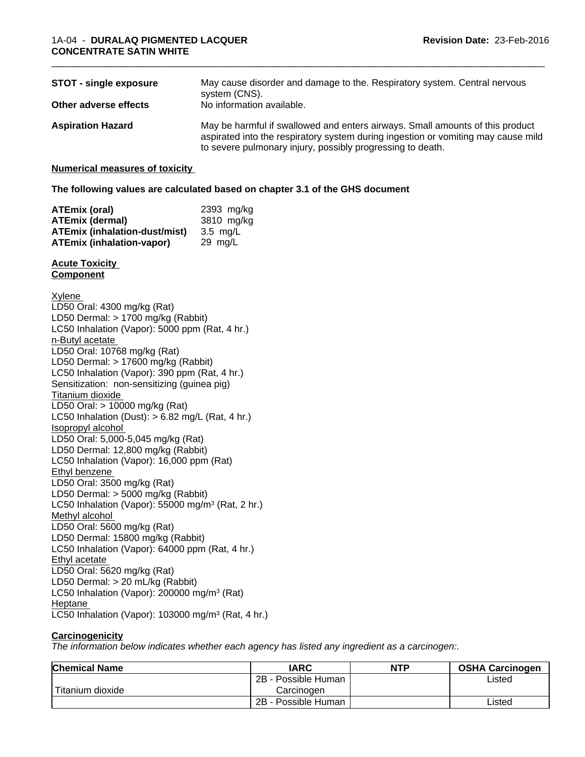| <b>STOT - single exposure</b><br>Other adverse effects | May cause disorder and damage to the. Respiratory system. Central nervous<br>system (CNS).<br>No information available.                                                                                                          |
|--------------------------------------------------------|----------------------------------------------------------------------------------------------------------------------------------------------------------------------------------------------------------------------------------|
| <b>Aspiration Hazard</b>                               | May be harmful if swallowed and enters airways. Small amounts of this product<br>aspirated into the respiratory system during ingestion or vomiting may cause mild<br>to severe pulmonary injury, possibly progressing to death. |

\_\_\_\_\_\_\_\_\_\_\_\_\_\_\_\_\_\_\_\_\_\_\_\_\_\_\_\_\_\_\_\_\_\_\_\_\_\_\_\_\_\_\_\_\_\_\_\_\_\_\_\_\_\_\_\_\_\_\_\_\_\_\_\_\_\_\_\_\_\_\_\_\_\_\_\_\_\_\_\_\_\_\_\_\_\_\_\_\_\_\_\_\_

#### **Numerical measures of toxicity**

#### **The following values are calculated based on chapter 3.1 of the GHS document**

| <b>ATEmix (oral)</b>                 | 2393 mg/kg |
|--------------------------------------|------------|
| ATEmix (dermal)                      | 3810 mg/kg |
| <b>ATEmix (inhalation-dust/mist)</b> | 3.5 ma/L   |
| <b>ATEmix (inhalation-vapor)</b>     | 29 ma/L    |

#### **Acute Toxicity Component**

#### Xylene

LD50 Oral: 4300 mg/kg (Rat) LD50 Dermal: > 1700 mg/kg (Rabbit) LC50 Inhalation (Vapor): 5000 ppm (Rat, 4 hr.) n-Butyl acetate LD50 Oral: 10768 mg/kg (Rat) LD50 Dermal: > 17600 mg/kg (Rabbit) LC50 Inhalation (Vapor): 390 ppm (Rat, 4 hr.) Sensitization: non-sensitizing (guinea pig) Titanium dioxide LD50 Oral: > 10000 mg/kg (Rat) LC50 Inhalation (Dust):  $> 6.82$  mg/L (Rat, 4 hr.) Isopropyl alcohol LD50 Oral: 5,000-5,045 mg/kg (Rat) LD50 Dermal: 12,800 mg/kg (Rabbit) LC50 Inhalation (Vapor): 16,000 ppm (Rat) Ethyl benzene LD50 Oral: 3500 mg/kg (Rat) LD50 Dermal: > 5000 mg/kg (Rabbit) LC50 Inhalation (Vapor): 55000 mg/m<sup>3</sup> (Rat, 2 hr.) Methyl alcohol LD50 Oral: 5600 mg/kg (Rat) LD50 Dermal: 15800 mg/kg (Rabbit) LC50 Inhalation (Vapor): 64000 ppm (Rat, 4 hr.) Ethyl acetate LD50 Oral: 5620 mg/kg (Rat) LD50 Dermal: > 20 mL/kg (Rabbit) LC50 Inhalation (Vapor): 200000 mg/m<sup>3</sup> (Rat) Heptane LC50 Inhalation (Vapor): 103000 mg/m<sup>3</sup> (Rat, 4 hr.)

#### **Carcinogenicity**

*The information below indicateswhether each agency has listed any ingredient as a carcinogen:.*

| <b>Chemical Name</b> | <b>IARC</b>              | <b>NTP</b> | <b>OSHA Carcinogen</b> |
|----------------------|--------------------------|------------|------------------------|
|                      | 2B -<br>· Possible Human |            | Listed                 |
| Titanium dioxide     | Carcinogen               |            |                        |
|                      | · Possible Human<br>2B - |            | _isted                 |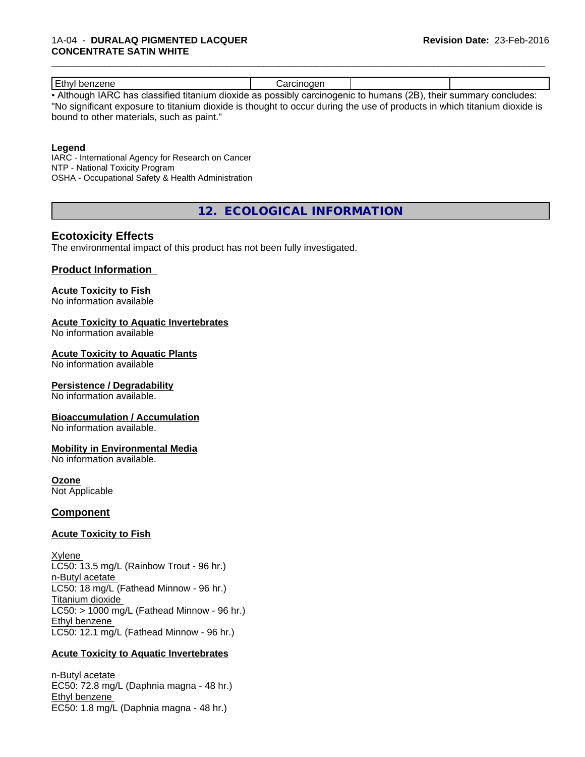#### 1A-04 - **DURALAQ PIGMENTED LACQUER CONCENTRATE SATIN WHITE**

| Ethyl benzene                                                                                                    | ∴arcınoɑen |  |
|------------------------------------------------------------------------------------------------------------------|------------|--|
| Althania LADO kao alaasifisal titaninga disnida oo waasikhu sansigaasa iyo kumaana (OD). Ikain summamo sanshudaa |            |  |

\_\_\_\_\_\_\_\_\_\_\_\_\_\_\_\_\_\_\_\_\_\_\_\_\_\_\_\_\_\_\_\_\_\_\_\_\_\_\_\_\_\_\_\_\_\_\_\_\_\_\_\_\_\_\_\_\_\_\_\_\_\_\_\_\_\_\_\_\_\_\_\_\_\_\_\_\_\_\_\_\_\_\_\_\_\_\_\_\_\_\_\_\_

• Although IARC has classified titanium dioxide as possibly carcinogenic to humans (2B), their summary concludes: "No significant exposure to titanium dioxide is thought to occur during the use of products in which titanium dioxide is bound to other materials, such as paint."

#### **Legend**

IARC - International Agency for Research on Cancer NTP - National Toxicity Program OSHA - Occupational Safety & Health Administration

**12. ECOLOGICAL INFORMATION**

# **Ecotoxicity Effects**

The environmental impact of this product has not been fully investigated.

### **Product Information**

#### **Acute Toxicity to Fish**

No information available

#### **Acute Toxicity to Aquatic Invertebrates**

No information available

#### **Acute Toxicity to Aquatic Plants**

No information available

#### **Persistence / Degradability**

No information available.

#### **Bioaccumulation / Accumulation**

No information available.

#### **Mobility in Environmental Media**

No information available.

#### **Ozone**

Not Applicable

#### **Component**

#### **Acute Toxicity to Fish**

Xylene LC50: 13.5 mg/L (Rainbow Trout - 96 hr.) n-Butyl acetate LC50: 18 mg/L (Fathead Minnow - 96 hr.) Titanium dioxide  $LC50:$  > 1000 mg/L (Fathead Minnow - 96 hr.) Ethyl benzene LC50: 12.1 mg/L (Fathead Minnow - 96 hr.)

#### **Acute Toxicity to Aquatic Invertebrates**

n-Butyl acetate EC50: 72.8 mg/L (Daphnia magna - 48 hr.) Ethyl benzene EC50: 1.8 mg/L (Daphnia magna - 48 hr.)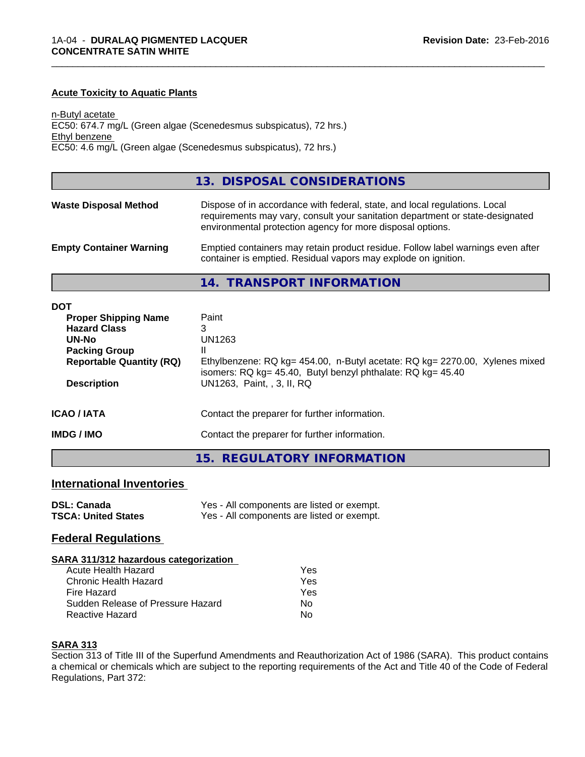#### **Acute Toxicity to Aquatic Plants**

n-Butyl acetate EC50: 674.7 mg/L (Green algae (Scenedesmus subspicatus), 72 hrs.) Ethyl benzene EC50: 4.6 mg/L (Green algae (Scenedesmus subspicatus), 72 hrs.)

|                                | 13. DISPOSAL CONSIDERATIONS                                                                                                                                                                                               |
|--------------------------------|---------------------------------------------------------------------------------------------------------------------------------------------------------------------------------------------------------------------------|
| <b>Waste Disposal Method</b>   | Dispose of in accordance with federal, state, and local regulations. Local<br>requirements may vary, consult your sanitation department or state-designated<br>environmental protection agency for more disposal options. |
| <b>Empty Container Warning</b> | Emptied containers may retain product residue. Follow label warnings even after<br>container is emptied. Residual vapors may explode on ignition.                                                                         |

\_\_\_\_\_\_\_\_\_\_\_\_\_\_\_\_\_\_\_\_\_\_\_\_\_\_\_\_\_\_\_\_\_\_\_\_\_\_\_\_\_\_\_\_\_\_\_\_\_\_\_\_\_\_\_\_\_\_\_\_\_\_\_\_\_\_\_\_\_\_\_\_\_\_\_\_\_\_\_\_\_\_\_\_\_\_\_\_\_\_\_\_\_

**14. TRANSPORT INFORMATION**

| <b>DOT</b>                      |                                                                                                                                            |
|---------------------------------|--------------------------------------------------------------------------------------------------------------------------------------------|
| <b>Proper Shipping Name</b>     | Paint                                                                                                                                      |
| <b>Hazard Class</b>             | 3                                                                                                                                          |
| <b>UN-No</b>                    | UN1263                                                                                                                                     |
| <b>Packing Group</b>            |                                                                                                                                            |
| <b>Reportable Quantity (RQ)</b> | Ethylbenzene: RQ kg= 454.00, n-Butyl acetate: RQ kg= 2270.00, Xylenes mixed<br>isomers: RQ kg= 45.40, Butyl benzyl phthalate: RQ kg= 45.40 |
| <b>Description</b>              | UN1263, Paint, , 3, II, RQ                                                                                                                 |
| <b>ICAO / IATA</b>              | Contact the preparer for further information.                                                                                              |
| <b>IMDG / IMO</b>               | Contact the preparer for further information.                                                                                              |
|                                 |                                                                                                                                            |

**15. REGULATORY INFORMATION**

#### **International Inventories**

| <b>DSL: Canada</b>         | Yes - All components are listed or exempt. |
|----------------------------|--------------------------------------------|
| <b>TSCA: United States</b> | Yes - All components are listed or exempt. |

### **Federal Regulations**

#### **SARA 311/312 hazardous categorization**

| Acute Health Hazard               | Yes |
|-----------------------------------|-----|
| Chronic Health Hazard             | Yes |
| Fire Hazard                       | Yes |
| Sudden Release of Pressure Hazard | Nο  |
| Reactive Hazard                   | N٥  |

#### **SARA 313**

Section 313 of Title III of the Superfund Amendments and Reauthorization Act of 1986 (SARA). This product contains a chemical or chemicals which are subject to the reporting requirements of the Act and Title 40 of the Code of Federal Regulations, Part 372: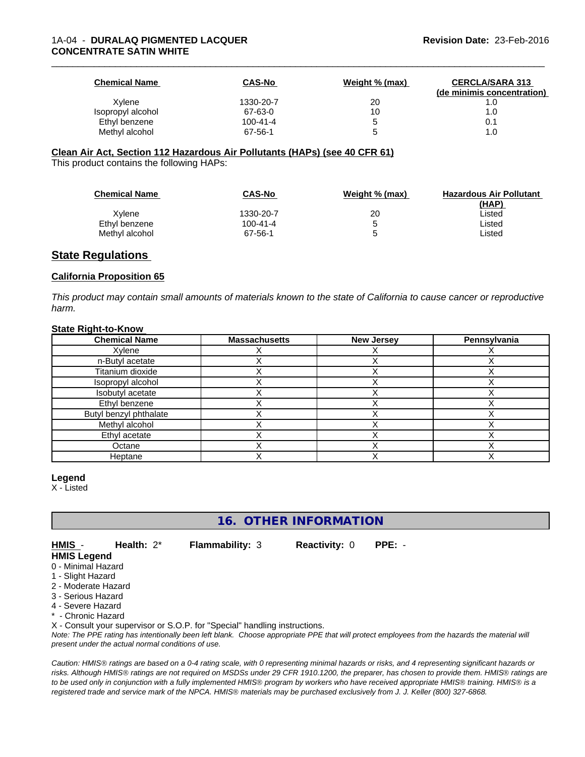| <b>Chemical Name</b> | <b>CAS-No</b>  | Weight % (max) | <b>CERCLA/SARA 313</b><br>(de minimis concentration) |
|----------------------|----------------|----------------|------------------------------------------------------|
| Xylene               | 1330-20-7      | 20             |                                                      |
| Isopropyl alcohol    | 67-63-0        | 10             | 1.0                                                  |
| Ethyl benzene        | $100 - 41 - 4$ |                | 0.1                                                  |
| Methyl alcohol       | 67-56-1        |                | 1.0                                                  |

#### **Clean Air Act,Section 112 Hazardous Air Pollutants (HAPs) (see 40 CFR 61)**

This product contains the following HAPs:

| <b>Chemical Name</b> | CAS-No         | Weight % (max) | <b>Hazardous Air Pollutant</b><br><u>(HAP)</u> |
|----------------------|----------------|----------------|------------------------------------------------|
| Xvlene               | 1330-20-7      | 20             | Listed                                         |
| Ethyl benzene        | $100 - 41 - 4$ | '5             | Listed                                         |
| Methyl alcohol       | 67-56-1        | b              | ∟isted                                         |

#### **State Regulations**

#### **California Proposition 65**

This product may contain small amounts of materials known to the state of California to cause cancer or reproductive *harm.*

#### **State Right-to-Know**

| <b>Chemical Name</b>   | <b>Massachusetts</b> | <b>New Jersey</b> | Pennsylvania |
|------------------------|----------------------|-------------------|--------------|
| Xylene                 |                      |                   |              |
| n-Butyl acetate        |                      |                   |              |
| Titanium dioxide       |                      |                   |              |
| Isopropyl alcohol      |                      |                   |              |
| Isobutyl acetate       |                      |                   |              |
| Ethyl benzene          |                      |                   |              |
| Butyl benzyl phthalate |                      |                   |              |
| Methyl alcohol         |                      |                   |              |
| Ethyl acetate          |                      |                   |              |
| Octane                 |                      |                   |              |
| Heptane                |                      |                   |              |

#### **Legend**

X - Listed

**16. OTHER INFORMATION**

**HMIS** - **Health:** 2\* **Flammability:** 3 **Reactivity:** 0 **PPE:** - **HMIS Legend**

- 0 Minimal Hazard
- 1 Slight Hazard
- 2 Moderate Hazard
- 3 Serious Hazard
- 4 Severe Hazard
- Chronic Hazard

X - Consult your supervisor or S.O.P. for "Special" handling instructions.

*Note: The PPE rating has intentionally been left blank. Choose appropriate PPE that will protect employees from the hazards the material will present under the actual normal conditions of use.*

*Caution: HMISÒ ratings are based on a 0-4 rating scale, with 0 representing minimal hazards or risks, and 4 representing significant hazards or risks. Although HMISÒ ratings are not required on MSDSs under 29 CFR 1910.1200, the preparer, has chosen to provide them. HMISÒ ratings are to be used only in conjunction with a fully implemented HMISÒ program by workers who have received appropriate HMISÒ training. HMISÒ is a registered trade and service mark of the NPCA. HMISÒ materials may be purchased exclusively from J. J. Keller (800) 327-6868.*